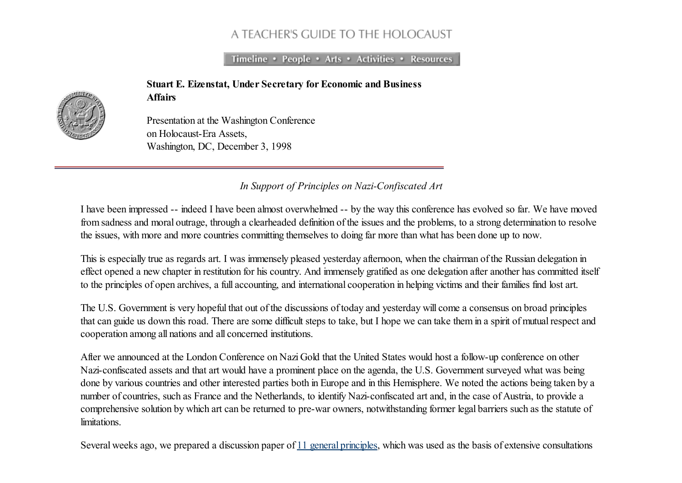## A TEACHER'S GUIDE TO THE HOLOCAUST

Timeline • People • Arts • Activities • Resources

Stuart E. Eizenstat, Under Secretary for Economic and Business Affairs



Presentation at the Washington Conference on Holocaust-Era Assets, Washington, DC, December 3, 1998

*In Support of Principles on Nazi-Confiscated Art*

I have been impressed -- indeed I have been almost overwhelmed -- by the way this conference has evolved so far. We have moved from sadness and moral outrage, through a clearheaded definition of the issues and the problems, to a strong determination to resolve the issues, with more and more countries committing themselves to doing far more than what has been done up to now.

This is especially true as regards art. I was immensely pleased yesterday afternoon, when the chairman of the Russian delegation in effect opened a new chapter in restitution for his country. And immensely gratified as one delegation after another has committed itself to the principles of open archives, a full accounting, and international cooperation in helping victims and their families find lost art.

The U.S. Government is very hopeful that out of the discussions of today and yesterday will come a consensus on broad principles that can guide us down this road. There are some difficult steps to take, but I hope we can take them in a spirit of mutualrespect and cooperation among all nations and all concerned institutions.

After we announced at the London Conference on Nazi Gold that the United States would host a follow-up conference on other Nazi-confiscated assets and that art would have a prominent place on the agenda, the U.S. Government surveyed what was being done by various countries and other interested parties both in Europe and in this Hemisphere. We noted the actions being taken by a number of countries, such as France and the Netherlands, to identify Nazi-confiscated art and, in the case of Austria, to provide a comprehensive solution by which art can be returned to pre-war owners, notwithstanding former legal barriers such as the statute of limitations.

Several weeks ago, we prepared a discussion paper of 11 general [principles,](http://fcit.usf.edu/holocaust/resource/assets/princ.htm) which was used as the basis of extensive consultations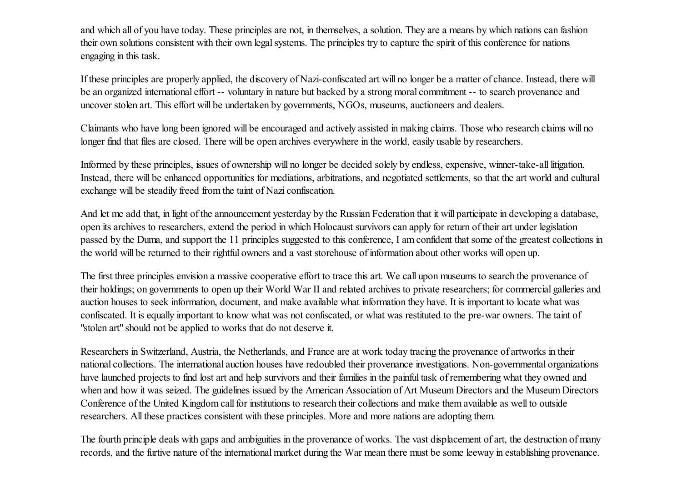and which all of you have today. These principles are not, in themselves, a solution. They are a means by which nations can fashion their own solutions consistent with their own legal systems. The principles try to capture the spirit of this conference for nations engaging in this task.

If these principles are properly applied, the discovery of Nazi-confiscated art will no longer be a matter of chance. Instead, there will be an organized international effort -- voluntary in nature but backed by a strong moral commitment -- to search provenance and uncover stolen art. This effort will be undertaken by governments, NGOs, museums, auctioneers and dealers.

Claimants who have long been ignored will be encouraged and actively assisted in making claims. Those who research claims will no longer find that files are closed. There will be open archives everywhere in the world, easily usable by researchers.

Informed by these principles, issues of ownership will no longer be decided solely by endless, expensive, winner-take-all litigation. Instead, there will be enhanced opportunities for mediations, arbitrations, and negotiated settlements, so that the art world and cultural exchange will be steadily freed from the taint of Nazi confiscation.

And let me add that, in light of the announcement yesterday by the Russian Federation that it will participate in developing a database, open its archives to researchers, extend the period in which Holocaust survivors can apply for return of their art under legislation passed by the Duma, and support the 11 principles suggested to this conference, I am confident that some of the greatest collections in the world will be returned to their rightful owners and a vast storehouse of information about other works will open up.

The first three principles envision a massive cooperative effort to trace this art. We call upon museums to search the provenance of their holdings; on governments to open up their World War II and related archives to private researchers; for commercial galleries and auction houses to seek information, document, and make available what information they have. It is important to locate what was confiscated. It is equally important to know what was not confiscated, or what was restituted to the pre-war owners. The taint of "stolen art" should not be applied to works that do not deserve it.

Researchers in Switzerland, Austria, the Netherlands, and France are at work today tracing the provenance of artworks in their national collections. The international auction houses have redoubled their provenance investigations. Non-governmental organizations have launched projects to find lost art and help survivors and their families in the painful task of remembering what they owned and when and how it was seized. The guidelines issued by the American Association of Art Museum Directors and the Museum Directors Conference of the United Kingdom call for institutions to research their collections and make them available as well to outside researchers. All these practices consistent with these principles. More and more nations are adopting them.

The fourth principle deals with gaps and ambiguities in the provenance of works. The vast displacement of art, the destruction of many records, and the furtive nature of the international market during the War mean there must be some leeway in establishing provenance.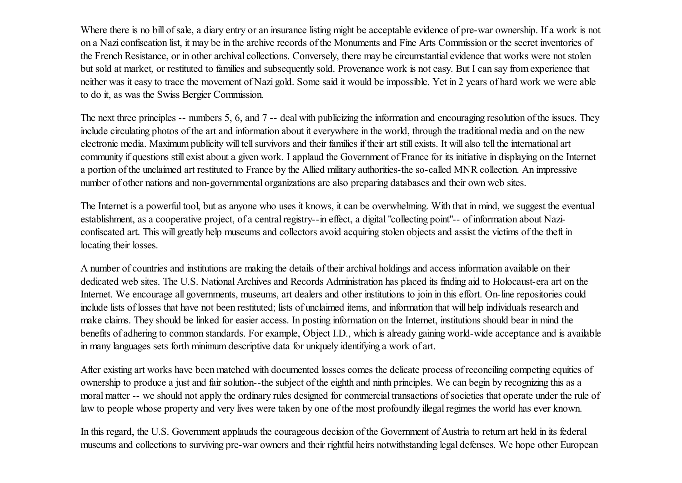Where there is no bill of sale, a diary entry or an insurance listing might be acceptable evidence of pre-war ownership. If a work is not on a Nazi confiscation list, it may be in the archive records of the Monuments and Fine Arts Commission or the secret inventories of the French Resistance, or in other archival collections. Conversely, there may be circumstantial evidence that works were not stolen but sold at market, or restituted to families and subsequently sold. Provenance work is not easy. But I can say from experience that neither was it easy to trace the movement of Nazi gold. Some said it would be impossible. Yet in 2 years of hard work we were able to do it, as was the Swiss Bergier Commission.

The next three principles -- numbers 5, 6, and 7 -- deal with publicizing the information and encouraging resolution of the issues. They include circulating photos of the art and information about it everywhere in the world, through the traditional media and on the new electronic media. Maximum publicity will tellsurvivors and their families if their art still exists. It will also tell the international art community if questions still exist about a given work. I applaud the Government of France for its initiative in displaying on the Internet a portion of the unclaimed art restituted to France by the Allied military authorities-the so-called MNR collection. An impressive number of other nations and non-governmental organizations are also preparing databases and their own web sites.

The Internet is a powerful tool, but as anyone who uses it knows, it can be overwhelming. With that in mind, we suggest the eventual establishment, as a cooperative project, of a central registry--in effect, a digital "collecting point"-- of information about Naziconfiscated art. This will greatly help museums and collectors avoid acquiring stolen objects and assist the victims of the theft in locating their losses.

A number of countries and institutions are making the details of their archival holdings and access information available on their dedicated web sites. The U.S. National Archives and Records Administration has placed its finding aid to Holocaust-era art on the Internet. We encourage all governments, museums, art dealers and other institutions to join in this effort. On-line repositories could include lists of losses that have not been restituted; lists of unclaimed items, and information that will help individuals research and make claims. They should be linked for easier access. In posting information on the Internet, institutions should bear in mind the benefits of adhering to common standards. For example, Object I.D., which is already gaining world-wide acceptance and is available in many languages sets forth minimum descriptive data for uniquely identifying a work of art.

After existing art works have been matched with documented losses comes the delicate process of reconciling competing equities of ownership to produce a just and fair solution--the subject of the eighth and ninth principles. We can begin by recognizing this as a moral matter -- we should not apply the ordinary rules designed for commercial transactions of societies that operate under the rule of law to people whose property and very lives were taken by one of the most profoundly illegalregimes the world has ever known.

In this regard, the U.S. Government applauds the courageous decision of the Government of Austria to return art held in its federal museums and collections to surviving pre-war owners and their rightful heirs notwithstanding legal defenses. We hope other European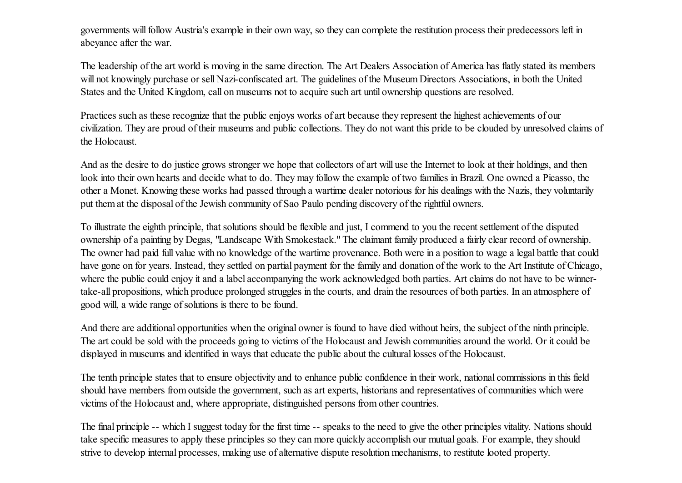governments will follow Austria's example in their own way, so they can complete the restitution process their predecessors left in abeyance after the war.

The leadership of the art world is moving in the same direction. The Art Dealers Association of America has flatly stated its members will not knowingly purchase or sell Nazi-confiscated art. The guidelines of the Museum Directors Associations, in both the United States and the United Kingdom, call on museums not to acquire such art until ownership questions are resolved.

Practices such as these recognize that the public enjoys works of art because they represent the highest achievements of our civilization. They are proud of their museums and public collections. They do not want this pride to be clouded by unresolved claims of the Holocaust.

And as the desire to do justice grows stronger we hope that collectors of art will use the Internet to look at their holdings, and then look into their own hearts and decide what to do. They may follow the example of two families in Brazil. One owned a Picasso, the other a Monet. Knowing these works had passed through a wartime dealer notorious for his dealings with the Nazis, they voluntarily put them at the disposal of the Jewish community of Sao Paulo pending discovery of the rightful owners.

To illustrate the eighth principle, that solutions should be flexible and just, I commend to you the recent settlement of the disputed ownership of a painting by Degas, "Landscape With Smokestack." The claimant family produced a fairly clear record of ownership. The owner had paid full value with no knowledge of the wartime provenance. Both were in a position to wage a legal battle that could have gone on for years. Instead, they settled on partial payment for the family and donation of the work to the Art Institute of Chicago, where the public could enjoy it and a label accompanying the work acknowledged both parties. Art claims do not have to be winnertake-all propositions, which produce prolonged struggles in the courts, and drain the resources of both parties. In an atmosphere of good will, a wide range of solutions is there to be found.

And there are additional opportunities when the original owner is found to have died without heirs, the subject of the ninth principle. The art could be sold with the proceeds going to victims of the Holocaust and Jewish communities around the world. Or it could be displayed in museums and identified in ways that educate the public about the cultural losses of the Holocaust.

The tenth principle states that to ensure objectivity and to enhance public confidence in their work, national commissions in this field should have members from outside the government, such as art experts, historians and representatives of communities which were victims of the Holocaust and, where appropriate, distinguished persons from other countries.

The final principle -- which I suggest today for the first time -- speaks to the need to give the other principles vitality. Nations should take specific measures to apply these principles so they can more quickly accomplish our mutual goals. For example, they should strive to develop internal processes, making use of alternative dispute resolution mechanisms, to restitute looted property.